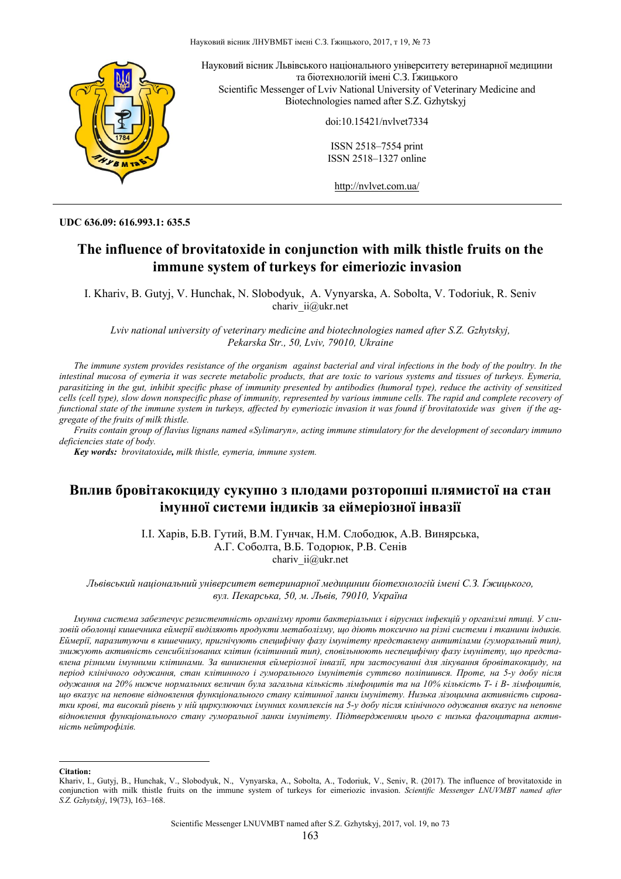

**UDC 636.09: 616.993.1: 635.5** 

# **The influence of brovitatoxide in conjunction with milk thistle fruits on the immune system of turkeys for eimeriozic invasion**

I. Khariv, B. Gutyj, V. Hunchak, N. Slobodyuk, A. Vynyarska, A. Sobolta, V. Todoriuk, R. Seniv chariv ii@ukr.net

*Lviv national university of veterinary medicine and biotechnologies named after S.Z. Gzhytskyj, Pekarska Str., 50, Lviv, 79010, Ukraine*

*The immune system provides resistance of the organism against bacterial and viral infections in the body of the poultry. In the intestinal mucosa of eymeria it was secrete metabolic products, that are toxic to various systems and tissues of turkeys. Eymeria, parasitizing in the gut, inhibit specific phase of immunity presented by antibodies (humoral type), reduce the activity of sensitized cells (cell type), slow down nonspecific phase of immunity, represented by various immune cells. The rapid and complete recovery of functional state of the immune system in turkeys, affected by eymeriozic invasion it was found if brovitatoxide was given if the aggregate of the fruits of milk thistle.* 

*Fruits contain group of flavius lignans named «Sylimaryn», acting immune stimulatory for the development of secondary immuno deficiencies state of body.* 

*Key words: brovitatoxide, milk thistle, eymeria, immune system.* 

## **Вплив бровітакокциду сукупно з плодами розторопші плямистої на стан імунної системи індиків за еймеріозної інвазії**

І.І. Харів, Б.В. Гутий, В.М. Гунчак, Н.М. Слободюк, А.В. Винярська, А.Г. Соболта, В.Б. Тодорюк, Р.В. Сенів chariv ii@ukr.net

*Львівський національний університет ветеринарної медицинии біотехнологій імені С.З. Ґжицького, вул. Пекарська, 50, м. Львів, 79010, Україна*

Імунна система забезпечує резистентність організму проти бактеріальних і вірусних інфекцій у організмі птиці. У слизовій оболонці кишечника еймерії виділяють продукти метаболізму, що діють токсично на різні системи і тканини індиків. Еймерії, паразитуючи в кишечнику, пригнічують специфічну фазу імунітету представлену антитілами (гуморальний тип), знижують активність сенсибілізованих клітин (клітинний тип), сповільнюють неспецифічну фазу імунітету, що представлена різними імунними клітинами. За виникнення еймеріозної інвазії, при застосуванні для лікування бровітакокциду, на період клінічного одужання, стан клітинного і гуморального імунітетів суттєво поліпшився. Проте, на 5-у добу після одужання на 20% нижче нормальних величин була загальна кількість лімфоцитів та на 10% кількість T- і B- лімфоцитів, шо вказує на неповне відновлення функціонального стану клітинної ланки імунітету. Низька лізошимна активність сироватки крові, та високий рівень у ній циркулюючих імунних комплексів на 5-у добу після клінічного одужання вказує на неповне *відновлення функціонального стану гуморальної ланки імунітету. Підтвердженням цього є низька фагоцитарна активність нейтрофілів.* 

**Citation:** 

 $\overline{\phantom{a}}$ 

Khariv, I., Gutyj, B., Hunchak, V., Slobodyuk, N., Vynyarska, A., Sobolta, A., Todoriuk, V., Seniv, R. (2017). The influence of brovitatoxide in conjunction with milk thistle fruits on the immune system of turkeys for eimeriozic invasion. *Scientific Messenger LNUVMBT named after S.Z. Gzhytskyj*, 19(73), 163–168.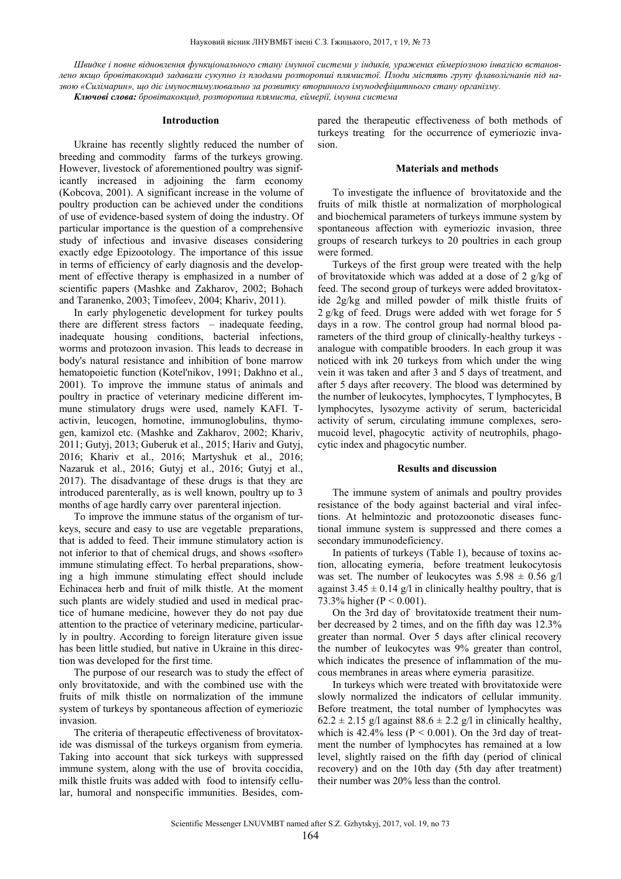Швидке і повне відновлення функціонального стану імунної системи у індиків, уражених еймеріозною інвазією встановлено якщо бровітакокцид задавали сукупно із плодами розторопші плямистої. Плоди містять групу флаволігнанів під на*звою «Силімарин», що діє імуностимулювально за розвитку вторинного імунодефіцитнього стану організму. Ключові слова: бровітакокцид, розторопша плямиста, еймерії, імунна система*

#### **Introduction**

Ukraine has recently slightly reduced the number of breeding and commodity farms of the turkeys growing. However, livestock of aforementioned poultry was significantly increased in adjoining the farm economy (Kobcova, 2001). A significant increase in the volume of poultry production can be achieved under the conditions of use of evidence-based system of doing the industry. Of particular importance is the question of a comprehensive study of infectious and invasive diseases considering exactly edge Epizootology. The importance of this issue in terms of efficiency of early diagnosis and the development of effective therapy is emphasized in a number of scientific papers (Mashke and Zakharov, 2002; Bohach and Taranenko, 2003; Timofeev, 2004; Khariv, 2011).

In early phylogenetic development for turkey poults there are different stress factors – inadequate feeding, inadequate housing conditions, bacterial infections, worms and protozoon invasion. This leads to decrease in body's natural resistance and inhibition of bone marrow hematopoietic function (Kotel'nikov, 1991; Dakhno et al., 2001). To improve the immune status of animals and poultry in practice of veterinary medicine different immune stimulatory drugs were used, namely KAFI. Tactivin, leucogen, homotine, immunoglobulins, thymogen, kamizol etc. (Mashke and Zakharov, 2002; Khariv, 2011; Gutyj, 2013; Guberuk et al., 2015; Hariv and Gutyj, 2016; Khariv et al., 2016; Martyshuk et al., 2016; Nazaruk et al., 2016; Gutyj et al., 2016; Gutyj et al., 2017). The disadvantage of these drugs is that they are introduced parenterally, as is well known, poultry up to 3 months of age hardly carry over parenteral injection.

To improve the immune status of the organism of turkeys, secure and easy to use are vegetable preparations, that is added to feed. Their immune stimulatory action is not inferior to that of chemical drugs, and shows «softer» immune stimulating effect. To herbal preparations, showing a high immune stimulating effect should include Echinacea herb and fruit of milk thistle. At the moment such plants are widely studied and used in medical practice of humane medicine, however they do not pay due attention to the practice of veterinary medicine, particularly in poultry. According to foreign literature given issue has been little studied, but native in Ukraine in this direction was developed for the first time.

The purpose of our research was to study the effect of only brovitatoxide, and with the combined use with the fruits of milk thistle on normalization of the immune system of turkeys by spontaneous affection of eymeriozic invasion.

The criteria of therapeutic effectiveness of brovitatoxide was dismissal of the turkeys organism from eymeria. Taking into account that sick turkeys with suppressed immune system, along with the use of brovita coccidia, milk thistle fruits was added with food to intensify cellular, humoral and nonspecific immunities. Besides, compared the therapeutic effectiveness of both methods of turkeys treating for the occurrence of eymeriozic invasion.

#### **Materials and methods**

To investigate the influence of brovitatoxide and the fruits of milk thistle at normalization of morphological and biochemical parameters of turkeys immune system by spontaneous affection with eymeriozic invasion, three groups of research turkeys to 20 poultries in each group were formed.

Turkeys of the first group were treated with the help of brovitatoxide which was added at a dose of 2 g/kg of feed. The second group of turkeys were added brovitatoxide 2g/kg and milled powder of milk thistle fruits of 2 g/kg of feed. Drugs were added with wet forage for 5 days in a row. The control group had normal blood parameters of the third group of clinically-healthy turkeys analogue with compatible brooders. In each group it was noticed with ink 20 turkeys from which under the wing vein it was taken and after 3 and 5 days of treatment, and after 5 days after recovery. The blood was determined by the number of leukocytes, lymphocytes, T lymphocytes, B lymphocytes, lysozyme activity of serum, bactericidal activity of serum, circulating immune complexes, seromucoid level, phagocytic activity of neutrophils, phagocytic index and phagocytic number.

#### **Results and discussion**

The immune system of animals and poultry provides resistance of the body against bacterial and viral infections. At helmintozic and protozoonotic diseases functional immune system is suppressed and there comes a secondary immunodeficiency.

In patients of turkeys (Table 1), because of toxins action, allocating eymeria, before treatment leukocytosis was set. The number of leukocytes was  $5.98 \pm 0.56$  g/l against  $3.45 \pm 0.14$  g/l in clinically healthy poultry, that is 73.3% higher ( $P < 0.001$ ).

On the 3rd day of brovitatoxide treatment their number decreased by 2 times, and on the fifth day was 12.3% greater than normal. Over 5 days after clinical recovery the number of leukocytes was 9% greater than control, which indicates the presence of inflammation of the mucous membranes in areas where eymeria parasitize.

In turkeys which were treated with brovitatoxide were slowly normalized the indicators of cellular immunity. Before treatment, the total number of lymphocytes was  $62.2 \pm 2.15$  g/l against  $88.6 \pm 2.2$  g/l in clinically healthy, which is  $42.4\%$  less (P < 0.001). On the 3rd day of treatment the number of lymphocytes has remained at a low level, slightly raised on the fifth day (period of clinical recovery) and on the 10th day (5th day after treatment) their number was 20% less than the control.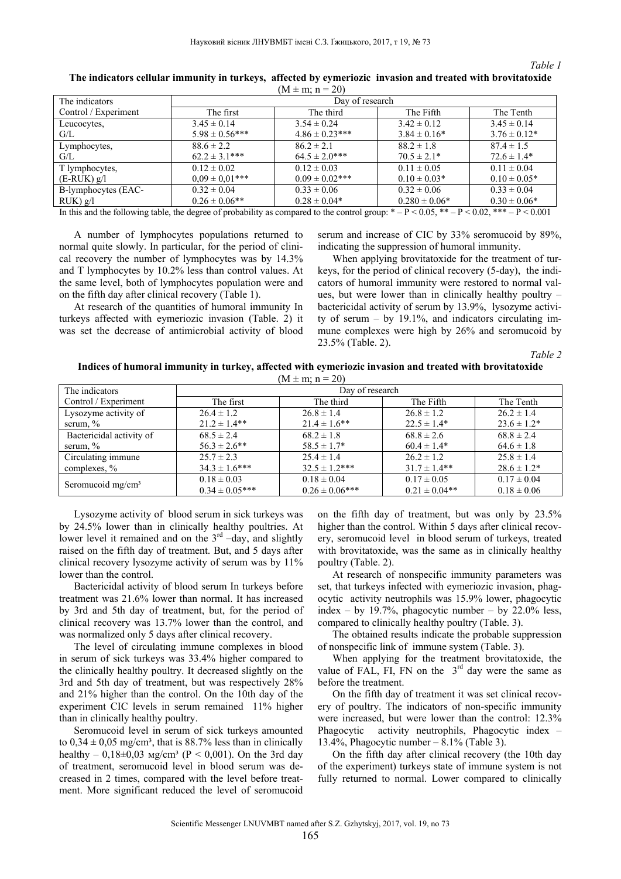#### *Table 1*

| $(M \pm m; n = 20)$                                                                                                                                                                      |                     |                     |                   |                   |  |
|------------------------------------------------------------------------------------------------------------------------------------------------------------------------------------------|---------------------|---------------------|-------------------|-------------------|--|
| The indicators                                                                                                                                                                           | Day of research     |                     |                   |                   |  |
| Control / Experiment                                                                                                                                                                     | The first           | The third           | The Fifth         | The Tenth         |  |
| Leucocytes,                                                                                                                                                                              | $3.45 \pm 0.14$     | $3.54 \pm 0.24$     | $3.42 \pm 0.12$   | $3.45 \pm 0.14$   |  |
| G/L                                                                                                                                                                                      | $5.98 \pm 0.56***$  | $4.86 \pm 0.23***$  | $3.84 \pm 0.16^*$ | $3.76 \pm 0.12^*$ |  |
| Lymphocytes,                                                                                                                                                                             | $88.6 \pm 2.2$      | $86.2 \pm 2.1$      | $88.2 \pm 1.8$    | $87.4 \pm 1.5$    |  |
| G/L                                                                                                                                                                                      | $62.2 \pm 3.1***$   | $64.5 \pm 2.0***$   | $70.5 \pm 2.1*$   | $72.6 \pm 1.4*$   |  |
| T lymphocytes,                                                                                                                                                                           | $0.12 \pm 0.02$     | $0.12 \pm 0.03$     | $0.11 \pm 0.05$   | $0.11 \pm 0.04$   |  |
| $(E-RUK)$ g/l                                                                                                                                                                            | $0.09 \pm 0.01$ *** | $0.09 \pm 0.02$ *** | $0.10 \pm 0.03*$  | $0.10 \pm 0.05*$  |  |
| B-lymphocytes (EAC-                                                                                                                                                                      | $0.32 \pm 0.04$     | $0.33 \pm 0.06$     | $0.32 \pm 0.06$   | $0.33 \pm 0.04$   |  |
| $RUK$ ) g/l                                                                                                                                                                              | $0.26 \pm 0.06$ **  | $0.28 \pm 0.04*$    | $0.280 \pm 0.06*$ | $0.30 \pm 0.06*$  |  |
| Letter and the following table the degree of mobalility on compared to the central groups $\ast$ $\rightarrow$ 0.05 $\ast\ast$ $\rightarrow$ 0.000 $\ast\ast$ $\rightarrow$ 0.000 $\ast$ |                     |                     |                   |                   |  |

**The indicators cellular immunity in turkeys, affected by eymeriozic invasion and treated with brovitatoxide** 

In this and the following table, the degree of probability as compared to the control group:  $* - P < 0.05$ ,  $* - P < 0.02$ ,  $* - P < 0.001$ 

A number of lymphocytes populations returned to normal quite slowly. In particular, for the period of clinical recovery the number of lymphocytes was by 14.3% and T lymphocytes by 10.2% less than control values. At the same level, both of lymphocytes population were and on the fifth day after clinical recovery (Table 1).

At research of the quantities of humoral immunity In turkeys affected with eymeriozic invasion (Table. 2) it was set the decrease of antimicrobial activity of blood serum and increase of CIC by 33% seromucoid by 89%, indicating the suppression of humoral immunity.

When applying brovitatoxide for the treatment of turkeys, for the period of clinical recovery (5-day), the indicators of humoral immunity were restored to normal values, but were lower than in clinically healthy poultry – bactericidal activity of serum by 13.9%, lysozyme activity of serum  $-$  by 19.1%, and indicators circulating immune complexes were high by 26% and seromucoid by 23.5% (Table. 2).

 *Table 2* 

**Indices of humoral immunity in turkey, affected with eymeriozic invasion and treated with brovitatoxide**   $(M \pm m; n = 20)$ 

| The indicators                | Day of research    |                    |                   |                  |
|-------------------------------|--------------------|--------------------|-------------------|------------------|
| Control / Experiment          | The first          | The third          | The Fifth         | The Tenth        |
| Lysozyme activity of          | $26.4 \pm 1.2$     | $26.8 \pm 1.4$     | $26.8 \pm 1.2$    | $26.2 \pm 1.4$   |
| serum, $\%$                   | $21.2 \pm 1.4**$   | $21.4 \pm 1.6$ **  | $22.5 \pm 1.4*$   | $23.6 \pm 1.2^*$ |
| Bactericidal activity of      | $68.5 \pm 2.4$     | $68.2 \pm 1.8$     | $68.8 \pm 2.6$    | $68.8 \pm 2.4$   |
| serum, $\%$                   | $56.3 \pm 2.6$ **  | $58.5 \pm 1.7^*$   | $60.4 \pm 1.4*$   | $64.6 \pm 1.8$   |
| Circulating immune            | $25.7 \pm 2.3$     | $25.4 \pm 1.4$     | $26.2 \pm 1.2$    | $25.8 \pm 1.4$   |
| complexes, $\%$               | $34.3 \pm 1.6$ *** | $32.5 \pm 1.2***$  | $31.7 \pm 1.4**$  | $28.6 \pm 1.2^*$ |
| Seromucoid mg/cm <sup>3</sup> | $0.18 \pm 0.03$    | $0.18 \pm 0.04$    | $0.17 \pm 0.05$   | $0.17 \pm 0.04$  |
|                               | $0.34 \pm 0.05***$ | $0.26 \pm 0.06***$ | $0.21 \pm 0.04**$ | $0.18 \pm 0.06$  |

Lysozyme activity of blood serum in sick turkeys was by 24.5% lower than in clinically healthy poultries. At lower level it remained and on the  $3<sup>rd</sup>$  –day, and slightly raised on the fifth day of treatment. But, and 5 days after clinical recovery lysozyme activity of serum was by 11% lower than the control.

Bactericidal activity of blood serum In turkeys before treatment was 21.6% lower than normal. It has increased by 3rd and 5th day of treatment, but, for the period of clinical recovery was 13.7% lower than the control, and was normalized only 5 days after clinical recovery.

The level of circulating immune complexes in blood in serum of sick turkeys was 33.4% higher compared to the clinically healthy poultry. It decreased slightly on the 3rd and 5th day of treatment, but was respectively 28% and 21% higher than the control. On the 10th day of the experiment CIC levels in serum remained 11% higher than in clinically healthy poultry.

Seromucoid level in serum of sick turkeys amounted to  $0.34 \pm 0.05$  mg/cm<sup>3</sup>, that is 88.7% less than in clinically healthy – 0,18 $\pm$ 0,03 мg/cm<sup>3</sup> (P < 0,001). On the 3rd day of treatment, seromucoid level in blood serum was decreased in 2 times, compared with the level before treatment. More significant reduced the level of seromucoid

on the fifth day of treatment, but was only by 23.5% higher than the control. Within 5 days after clinical recovery, seromucoid level in blood serum of turkeys, treated with brovitatoxide, was the same as in clinically healthy poultry (Table. 2).

At research of nonspecific immunity parameters was set, that turkeys infected with eymeriozic invasion, phagocytic activity neutrophils was 15.9% lower, phagocytic index – by 19.7%, phagocytic number – by  $22.0\%$  less, compared to clinically healthy poultry (Table. 3).

The obtained results indicate the probable suppression of nonspecific link of immune system (Table. 3).

When applying for the treatment brovitatoxide, the value of FAL, FI, FN on the  $3<sup>rd</sup>$  day were the same as before the treatment.

On the fifth day of treatment it was set clinical recovery of poultry. The indicators of non-specific immunity were increased, but were lower than the control: 12.3% Phagocytic activity neutrophils, Phagocytic index – 13.4%, Phagocytic number  $-8.1\%$  (Table 3).

On the fifth day after clinical recovery (the 10th day of the experiment) turkeys state of immune system is not fully returned to normal. Lower compared to clinically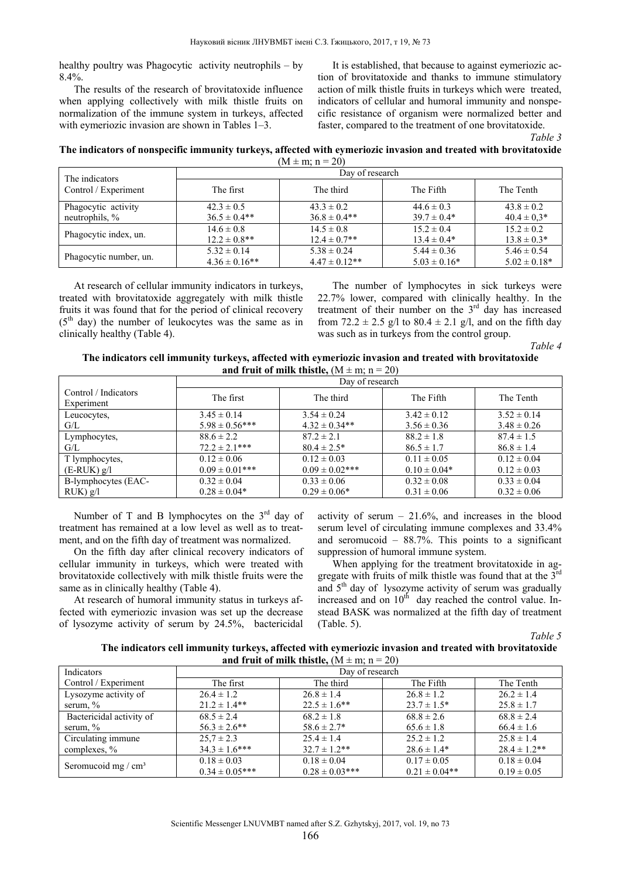healthy poultry was Phagocytic activity neutrophils – by  $8.4\%$ .

The results of the research of brovitatoxide influence when applying collectively with milk thistle fruits on normalization of the immune system in turkeys, affected with eymeriozic invasion are shown in Tables 1–3.

It is established, that because to against eymeriozic action of brovitatoxide and thanks to immune stimulatory action of milk thistle fruits in turkeys which were treated, indicators of cellular and humoral immunity and nonspecific resistance of organism were normalized better and faster, compared to the treatment of one brovitatoxide.

|                                                                                                                  | Table 3 |
|------------------------------------------------------------------------------------------------------------------|---------|
| The indicators of nonspecific immunity turkeys, affected with eymeriozic invasion and treated with brovitatoxide |         |
| $(M + m : n - 20)$                                                                                               |         |

| V<br>11 | . ± m∶n∍ |  | 20 |
|---------|----------|--|----|
|         |          |  |    |

| The indicators         | Day of research   |                   |                  |                  |  |
|------------------------|-------------------|-------------------|------------------|------------------|--|
| Control / Experiment   | The first         | The third         | The Fifth        | The Tenth        |  |
| Phagocytic activity    | $42.3 \pm 0.5$    | $43.3 \pm 0.2$    | $44.6 \pm 0.3$   | $43.8 \pm 0.2$   |  |
| neutrophils, $\%$      | $36.5 \pm 0.4**$  | $36.8 \pm 0.4**$  | $39.7 \pm 0.4*$  | $40.4 \pm 0.3*$  |  |
|                        | $14.6 \pm 0.8$    | $14.5 \pm 0.8$    | $15.2 \pm 0.4$   | $15.2 \pm 0.2$   |  |
| Phagocytic index, un.  | $12.2 \pm 0.8$ ** | $12.4 \pm 0.7$ ** | $13.4 \pm 0.4*$  | $13.8 \pm 0.3*$  |  |
| Phagocytic number, un. | $5.32 \pm 0.14$   | $5.38 \pm 0.24$   | $5.44 \pm 0.36$  | $5.46 \pm 0.54$  |  |
|                        | $4.36 \pm 0.16**$ | $4.47 \pm 0.12**$ | $5.03 \pm 0.16*$ | $5.02 \pm 0.18*$ |  |

At research of cellular immunity indicators in turkeys, treated with brovitatoxide aggregately with milk thistle fruits it was found that for the period of clinical recovery  $(5<sup>th</sup> day)$  the number of leukocytes was the same as in clinically healthy (Table 4).

The number of lymphocytes in sick turkeys were 22.7% lower, compared with clinically healthy. In the treatment of their number on the  $3<sup>rd</sup>$  day has increased from 72.2  $\pm$  2.5 g/l to 80.4  $\pm$  2.1 g/l, and on the fifth day was such as in turkeys from the control group.

 *Table 4* 

| The indicators cell immunity turkeys, affected with eymeriozic invasion and treated with brovitatoxide |
|--------------------------------------------------------------------------------------------------------|
| and fruit of milk thistle, $(M \pm m; n = 20)$                                                         |
|                                                                                                        |

|                                    | Day of research     |                     |                  |                 |
|------------------------------------|---------------------|---------------------|------------------|-----------------|
| Control / Indicators<br>Experiment | The first           | The third           | The Fifth        | The Tenth       |
| Leucocytes,                        | $3.45 \pm 0.14$     | $3.54 \pm 0.24$     | $3.42 \pm 0.12$  | $3.52 \pm 0.14$ |
| G/L                                | $5.98 \pm 0.56***$  | $4.32 \pm 0.34**$   | $3.56 \pm 0.36$  | $3.48 \pm 0.26$ |
| Lymphocytes,                       | $88.6 \pm 2.2$      | $87.2 \pm 2.1$      | $88.2 \pm 1.8$   | $87.4 \pm 1.5$  |
| G/L                                | $72.2 \pm 2.1***$   | $80.4 \pm 2.5^*$    | $86.5 \pm 1.7$   | $86.8 \pm 1.4$  |
| T lymphocytes,                     | $0.12 \pm 0.06$     | $0.12 \pm 0.03$     | $0.11 \pm 0.05$  | $0.12 \pm 0.04$ |
| $(E-RUK)$ g/l                      | $0.09 \pm 0.01$ *** | $0.09 \pm 0.02$ *** | $0.10 \pm 0.04*$ | $0.12 \pm 0.03$ |
| B-lymphocytes (EAC-                | $0.32 \pm 0.04$     | $0.33 \pm 0.06$     | $0.32 \pm 0.08$  | $0.33 \pm 0.04$ |
| $RUK$ ) g/l                        | $0.28 \pm 0.04*$    | $0.29 \pm 0.06*$    | $0.31 \pm 0.06$  | $0.32 \pm 0.06$ |

Number of T and B lymphocytes on the  $3<sup>rd</sup>$  day of treatment has remained at a low level as well as to treatment, and on the fifth day of treatment was normalized.

On the fifth day after clinical recovery indicators of cellular immunity in turkeys, which were treated with brovitatoxide collectively with milk thistle fruits were the same as in clinically healthy (Table 4).

At research of humoral immunity status in turkeys affected with eymeriozic invasion was set up the decrease of lysozyme activity of serum by 24.5%, bactericidal activity of serum  $-21.6%$ , and increases in the blood serum level of circulating immune complexes and 33.4% and seromucoid – 88.7%. This points to a significant suppression of humoral immune system.

When applying for the treatment brovitatoxide in aggregate with fruits of milk thistle was found that at the  $3<sup>rd</sup>$ and  $5<sup>th</sup>$  day of lysozyme activity of serum was gradually increased and on  $10<sup>th</sup>$  day reached the control value. Instead BASK was normalized at the fifth day of treatment (Table. 5).

*Table 5* 

**The indicators cell immunity turkeys, affected with eymeriozic invasion and treated with brovitatoxide and fruit of milk thistle,**  $(M \pm m; n = 20)$ 

| Indicators               | Day of research    |                    |                   |                   |  |
|--------------------------|--------------------|--------------------|-------------------|-------------------|--|
| Control / Experiment     | The first          | The third          | The Fifth         | The Tenth         |  |
| Lysozyme activity of     | $26.4 \pm 1.2$     | $26.8 \pm 1.4$     | $26.8 \pm 1.2$    | $26.2 \pm 1.4$    |  |
| serum, $\%$              | $21.2 \pm 1.4**$   | $22.5 \pm 1.6$ **  | $23.7 \pm 1.5^*$  | $25.8 \pm 1.7$    |  |
| Bactericidal activity of | $68.5 \pm 2.4$     | $68.2 \pm 1.8$     | $68.8 \pm 2.6$    | $68.8 \pm 2.4$    |  |
| serum, $\%$              | $56.3 \pm 2.6$ **  | $58.6 \pm 2.7^*$   | $65.6 \pm 1.8$    | $66.4 \pm 1.6$    |  |
| Circulating immune       | $25.7 \pm 2.3$     | $25.4 \pm 1.4$     | $25.2 \pm 1.2$    | $25.8 \pm 1.4$    |  |
| complexes, $\%$          | $34.3 \pm 1.6$ *** | $32.7 \pm 1.2$ **  | $28.6 \pm 1.4*$   | $28.4 \pm 1.2$ ** |  |
|                          | $0.18 \pm 0.03$    | $0.18 \pm 0.04$    | $0.17 \pm 0.05$   | $0.18 \pm 0.04$   |  |
| Seromucoid mg / $cm3$    | $0.34 \pm 0.05***$ | $0.28 \pm 0.03***$ | $0.21 \pm 0.04**$ | $0.19 \pm 0.05$   |  |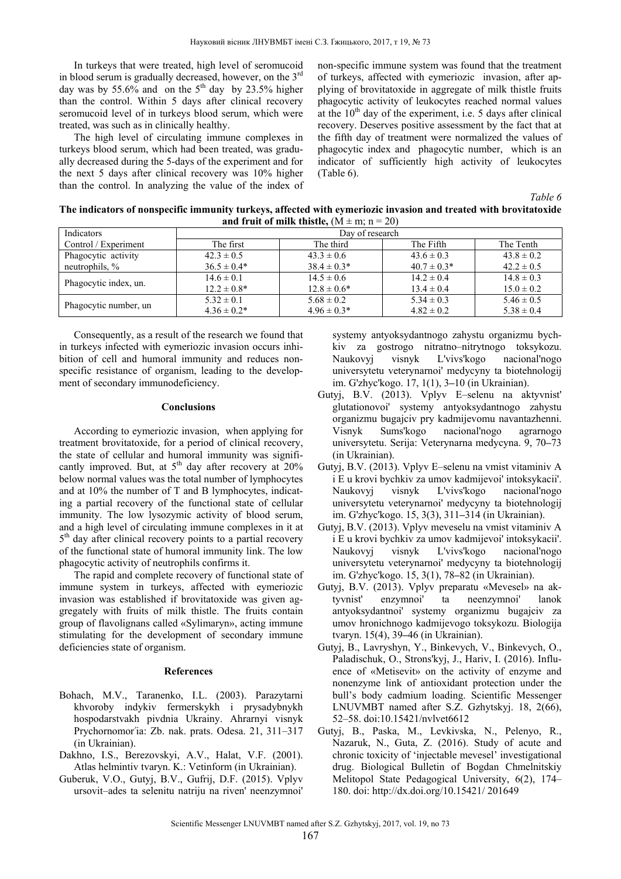In turkeys that were treated, high level of seromucoid in blood serum is gradually decreased, however, on the  $3<sup>rd</sup>$ day was by 55.6% and on the  $5<sup>th</sup>$  day by 23.5% higher than the control. Within 5 days after clinical recovery seromucoid level of in turkeys blood serum, which were treated, was such as in clinically healthy.

The high level of circulating immune complexes in turkeys blood serum, which had been treated, was gradually decreased during the 5-days of the experiment and for the next 5 days after clinical recovery was 10% higher than the control. In analyzing the value of the index of non-specific immune system was found that the treatment of turkeys, affected with eymeriozic invasion, after applying of brovitatoxide in aggregate of milk thistle fruits phagocytic activity of leukocytes reached normal values at the  $10<sup>th</sup>$  day of the experiment, i.e. 5 days after clinical recovery. Deserves positive assessment by the fact that at the fifth day of treatment were normalized the values of phagocytic index and phagocytic number, which is an indicator of sufficiently high activity of leukocytes (Table 6).

 *Table 6* 

| and if the behind thistic, $(W_1 + W_2 + Z_2)$ |                  |                  |                 |                |  |  |
|------------------------------------------------|------------------|------------------|-----------------|----------------|--|--|
| Indicators                                     | Day of research  |                  |                 |                |  |  |
| Control / Experiment                           | The first        | The third        | The Fifth       | The Tenth      |  |  |
| Phagocytic activity                            | $42.3 \pm 0.5$   | $43.3 \pm 0.6$   | $43.6 \pm 0.3$  | $43.8 \pm 0.2$ |  |  |
| neutrophils, $\%$                              | $36.5 \pm 0.4*$  | $38.4 \pm 0.3*$  | $40.7 \pm 0.3*$ | $42.2 \pm 0.5$ |  |  |
| Phagocytic index, un.                          | $14.6 \pm 0.1$   | $14.5 \pm 0.6$   | $14.2 \pm 0.4$  | $14.8 \pm 0.3$ |  |  |
|                                                | $12.2 \pm 0.8^*$ | $12.8 \pm 0.6^*$ | $13.4 \pm 0.4$  | $15.0 \pm 0.2$ |  |  |
| Phagocytic number, un                          | $5.32 \pm 0.1$   | $5.68 \pm 0.2$   | $5.34 \pm 0.3$  | $5.46 \pm 0.5$ |  |  |
|                                                | $4.36 \pm 0.2^*$ | $4.96 \pm 0.3*$  | $4.82 \pm 0.2$  | $5.38 \pm 0.4$ |  |  |

**The indicators of nonspecific immunity turkeys, affected with eymeriozic invasion and treated with brovitatoxide and fruit of milk thistle,**  $(M \pm m; n = 20)$ 

Consequently, as a result of the research we found that in turkeys infected with eymeriozic invasion occurs inhibition of cell and humoral immunity and reduces nonspecific resistance of organism, leading to the development of secondary immunodeficiency.

### **Conclusions**

According to eymeriozic invasion, when applying for treatment brovitatoxide, for a period of clinical recovery, the state of cellular and humoral immunity was significantly improved. But, at  $5<sup>th</sup>$  day after recovery at  $20<sup>o</sup>$ below normal values was the total number of lymphocytes and at 10% the number of T and B lymphocytes, indicating a partial recovery of the functional state of cellular immunity. The low lysozymic activity of blood serum, and a high level of circulating immune complexes in it at  $5<sup>th</sup>$  day after clinical recovery points to a partial recovery of the functional state of humoral immunity link. The low phagocytic activity of neutrophils confirms it.

The rapid and complete recovery of functional state of immune system in turkeys, affected with eymeriozic invasion was established if brovitatoxide was given aggregately with fruits of milk thistle. The fruits contain group of flavolignans called «Sylimaryn», acting immune stimulating for the development of secondary immune deficiencies state of organism.

#### **References**

- Bohach, M.V., Taranenko, I.L. (2003). Parazytarni khvoroby indykiv fermerskykh i prysadybnykh hospodarstvakh pivdnia Ukrainy. Ahrarnyi visnyk Prychornomor'ia: Zb. nak. prats. Odesa. 21, 311–317 (in Ukrainian).
- Dakhno, I.S., Berezovskyi, A.V., Halat, V.F. (2001). Atlas helmintiv tvaryn. K.: Vetinform (in Ukrainian).
- Guberuk, V.O., Gutyj, B.V., Gufrij, D.F. (2015). Vplyv ursovit–ades ta selenitu natriju na riven' neenzymnoi'

systemy antyoksydantnogo zahystu organizmu bychkiv za gostrogo nitratno–nitrytnogo toksykozu. Naukovyj visnyk L'vivs'kogo nacional'nogo universytetu veterynarnoi' medycyny ta biotehnologij im. G'zhyc'kogo. 17, 1(1), 3**–**10 (in Ukrainian).

- Gutyj, B.V. (2013). Vplyv E–selenu na aktyvnist' glutationovoi' systemy antyoksydantnogo zahystu organizmu bugajciv pry kadmijevomu navantazhenni. Visnyk Sums'kogo nacional'nogo agrarnogo universytetu. Serija: Veterynarna medycyna. 9, 70**–**73 (in Ukrainian).
- Gutyj, B.V. (2013). Vplyv E–selenu na vmist vitaminiv A i E u krovi bychkiv za umov kadmijevoi' intoksykacii'. Naukovyj visnyk L'vivs'kogo nacional'nogo universytetu veterynarnoi' medycyny ta biotehnologij im. G'zhyc'kogo. 15, 3(3), 311**–**314 (in Ukrainian).
- Gutyj, B.V. (2013). Vplyv meveselu na vmist vitaminiv A i E u krovi bychkiv za umov kadmijevoi' intoksykacii'. Naukovyj visnyk L'vivs'kogo nacional'nogo universytetu veterynarnoi' medycyny ta biotehnologij im. G'zhyc'kogo. 15, 3(1), 78**–**82 (in Ukrainian).
- Gutyj, B.V. (2013). Vplyv preparatu «Mevesel» na aktyvnist' enzymnoi' ta neenzymnoi' lanok antyoksydantnoi' systemy organizmu bugajciv za umov hronichnogo kadmijevogo toksykozu. Biologija tvaryn. 15(4), 39**–**46 (in Ukrainian).
- Gutyj, B., Lavryshyn, Y., Binkevych, V., Binkevych, O., Paladischuk, О., Strons'kyj, J., Hariv, I. (2016). Influence of «Metisevit» on the activity of enzyme and nonenzyme link of antioxidant protection under the bull's body cadmium loading. Scientific Messenger LNUVMBT named after S.Z. Gzhytskyj. 18, 2(66), 52–58. doi:10.15421/nvlvet6612
- Gutyj, B., Paska, M., Levkivska, N., Pelenyo, R., Nazaruk, N., Guta, Z. (2016). Study of acute and chronic toxicity of 'injectable mevesel' investigational drug. Biological Bulletin of Bogdan Chmelnitskiy Melitopol State Pedagogical University, 6(2), 174– 180. doi: http://dx.doi.org/10.15421/ 201649